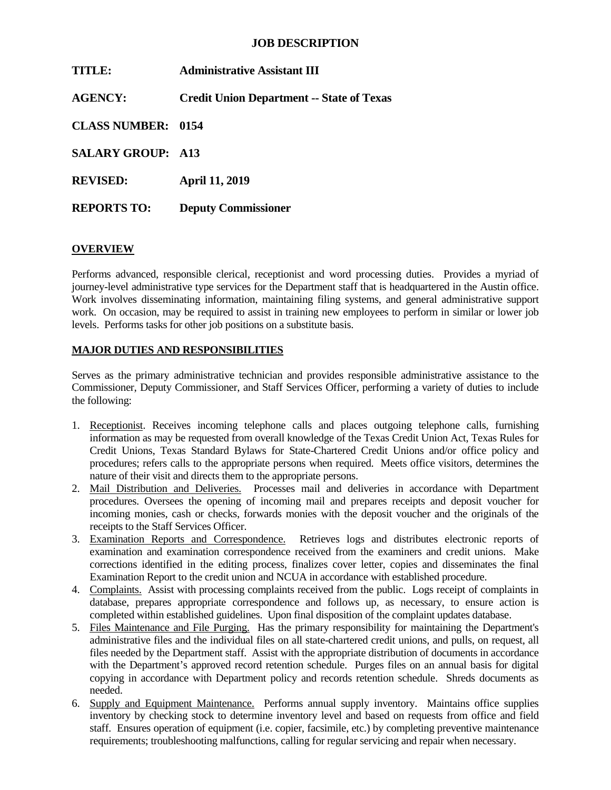## **JOB DESCRIPTION**

| TITLE:                    | <b>Administrative Assistant III</b>              |
|---------------------------|--------------------------------------------------|
| <b>AGENCY:</b>            | <b>Credit Union Department -- State of Texas</b> |
| <b>CLASS NUMBER: 0154</b> |                                                  |
| <b>SALARY GROUP: A13</b>  |                                                  |
| <b>REVISED:</b>           | <b>April 11, 2019</b>                            |
| <b>REPORTS TO:</b>        | <b>Deputy Commissioner</b>                       |

### **OVERVIEW**

Performs advanced, responsible clerical, receptionist and word processing duties. Provides a myriad of journey-level administrative type services for the Department staff that is headquartered in the Austin office. Work involves disseminating information, maintaining filing systems, and general administrative support work. On occasion, may be required to assist in training new employees to perform in similar or lower job levels. Performs tasks for other job positions on a substitute basis.

### **MAJOR DUTIES AND RESPONSIBILITIES**

Serves as the primary administrative technician and provides responsible administrative assistance to the Commissioner, Deputy Commissioner, and Staff Services Officer, performing a variety of duties to include the following:

- 1. Receptionist. Receives incoming telephone calls and places outgoing telephone calls, furnishing information as may be requested from overall knowledge of the Texas Credit Union Act, Texas Rules for Credit Unions, Texas Standard Bylaws for State-Chartered Credit Unions and/or office policy and procedures; refers calls to the appropriate persons when required. Meets office visitors, determines the nature of their visit and directs them to the appropriate persons.
- 2. Mail Distribution and Deliveries. Processes mail and deliveries in accordance with Department procedures. Oversees the opening of incoming mail and prepares receipts and deposit voucher for incoming monies, cash or checks, forwards monies with the deposit voucher and the originals of the receipts to the Staff Services Officer.
- 3. Examination Reports and Correspondence. Retrieves logs and distributes electronic reports of examination and examination correspondence received from the examiners and credit unions. Make corrections identified in the editing process, finalizes cover letter, copies and disseminates the final Examination Report to the credit union and NCUA in accordance with established procedure.
- 4. Complaints. Assist with processing complaints received from the public. Logs receipt of complaints in database, prepares appropriate correspondence and follows up, as necessary, to ensure action is completed within established guidelines. Upon final disposition of the complaint updates database.
- 5. Files Maintenance and File Purging. Has the primary responsibility for maintaining the Department's administrative files and the individual files on all state-chartered credit unions, and pulls, on request, all files needed by the Department staff. Assist with the appropriate distribution of documents in accordance with the Department's approved record retention schedule. Purges files on an annual basis for digital copying in accordance with Department policy and records retention schedule. Shreds documents as needed.
- 6. Supply and Equipment Maintenance. Performs annual supply inventory. Maintains office supplies inventory by checking stock to determine inventory level and based on requests from office and field staff. Ensures operation of equipment (i.e. copier, facsimile, etc.) by completing preventive maintenance requirements; troubleshooting malfunctions, calling for regular servicing and repair when necessary.